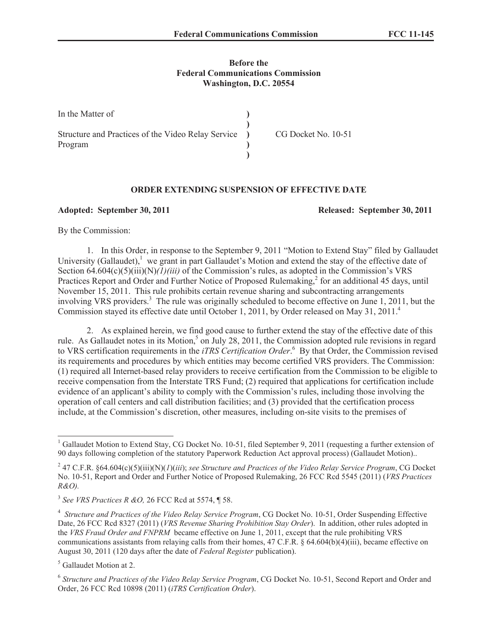## **Before the Federal Communications Commission Washington, D.C. 20554**

| In the Matter of                                     |                     |
|------------------------------------------------------|---------------------|
| Structure and Practices of the Video Relay Service ) | CG Docket No. 10-51 |
| Program                                              |                     |
|                                                      |                     |

## **ORDER EXTENDING SUSPENSION OF EFFECTIVE DATE**

**Adopted: September 30, 2011 Released: September 30, 2011**

By the Commission:

1. In this Order, in response to the September 9, 2011 "Motion to Extend Stay" filed by Gallaudet University (Gallaudet), $\frac{1}{1}$  we grant in part Gallaudet's Motion and extend the stay of the effective date of Section 64.604(c)(5)(iii)(N)(*l)(iii*) of the Commission's rules, as adopted in the Commission's VRS Practices Report and Order and Further Notice of Proposed Rulemaking,<sup>2</sup> for an additional 45 days, until November 15, 2011. This rule prohibits certain revenue sharing and subcontracting arrangements involving VRS providers.<sup>3</sup> The rule was originally scheduled to become effective on June 1, 2011, but the Commission stayed its effective date until October 1, 2011, by Order released on May 31, 2011.<sup>4</sup>

2. As explained herein, we find good cause to further extend the stay of the effective date of this rule. As Gallaudet notes in its Motion,<sup>5</sup> on July 28, 2011, the Commission adopted rule revisions in regard to VRS certification requirements in the *iTRS Certification Order*. <sup>6</sup> By that Order, the Commission revised its requirements and procedures by which entities may become certified VRS providers. The Commission: (1) required all Internet-based relay providers to receive certification from the Commission to be eligible to receive compensation from the Interstate TRS Fund; (2) required that applications for certification include evidence of an applicant's ability to comply with the Commission's rules, including those involving the operation of call centers and call distribution facilities; and (3) provided that the certification process include, at the Commission's discretion, other measures, including on-site visits to the premises of

<sup>&</sup>lt;sup>1</sup> Gallaudet Motion to Extend Stay, CG Docket No. 10-51, filed September 9, 2011 (requesting a further extension of 90 days following completion of the statutory Paperwork Reduction Act approval process) (Gallaudet Motion)..

<sup>2</sup> 47 C.F.R. §64.604(c)(5)(iii)(N)(*1*)(*iii*); *see Structure and Practices of the Video Relay Service Program*, CG Docket No. 10-51, Report and Order and Further Notice of Proposed Rulemaking, 26 FCC Rcd 5545 (2011) (*VRS Practices R&O).*

<sup>3</sup> *See VRS Practices R &O,* 26 FCC Rcd at 5574, ¶ 58.

<sup>4</sup> *Structure and Practices of the Video Relay Service Program*, CG Docket No. 10-51, Order Suspending Effective Date, 26 FCC Rcd 8327 (2011) (*VRS Revenue Sharing Prohibition Stay Order*). In addition, other rules adopted in the *VRS Fraud Order and FNPRM* became effective on June 1, 2011, except that the rule prohibiting VRS communications assistants from relaying calls from their homes, 47 C.F.R. § 64.604(b)(4)(iii), became effective on August 30, 2011 (120 days after the date of *Federal Register* publication).

 $<sup>5</sup>$  Gallaudet Motion at 2.</sup>

<sup>6</sup> *Structure and Practices of the Video Relay Service Program*, CG Docket No. 10-51, Second Report and Order and Order, 26 FCC Rcd 10898 (2011) (*iTRS Certification Order*).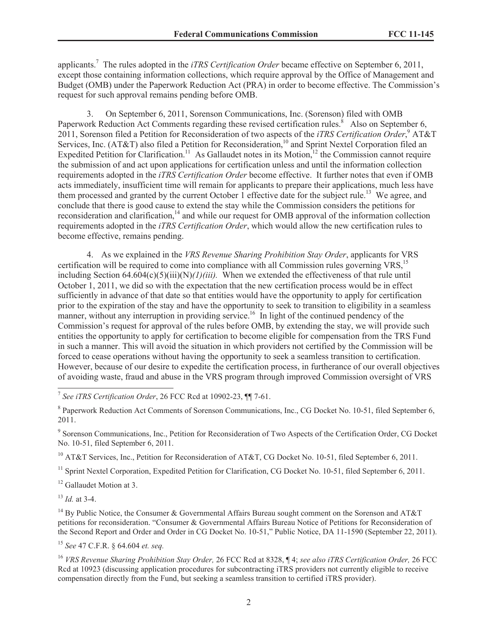applicants.<sup>7</sup> The rules adopted in the *iTRS Certification Order* became effective on September 6, 2011, except those containing information collections, which require approval by the Office of Management and Budget (OMB) under the Paperwork Reduction Act (PRA) in order to become effective. The Commission's request for such approval remains pending before OMB.

3. On September 6, 2011, Sorenson Communications, Inc. (Sorenson) filed with OMB Paperwork Reduction Act Comments regarding these revised certification rules.<sup>8</sup> Also on September 6, 2011, Sorenson filed a Petition for Reconsideration of two aspects of the *iTRS Certification Order*, <sup>9</sup> AT&T Services, Inc. (AT&T) also filed a Petition for Reconsideration,<sup>10</sup> and Sprint Nextel Corporation filed an Expedited Petition for Clarification.<sup>11</sup> As Gallaudet notes in its Motion,<sup>12</sup> the Commission cannot require the submission of and act upon applications for certification unless and until the information collection requirements adopted in the *iTRS Certification Order* become effective. It further notes that even if OMB acts immediately, insufficient time will remain for applicants to prepare their applications, much less have them processed and granted by the current October 1 effective date for the subject rule.<sup>13</sup> We agree, and conclude that there is good cause to extend the stay while the Commission considers the petitions for reconsideration and clarification,<sup>14</sup> and while our request for OMB approval of the information collection requirements adopted in the *iTRS Certification Order*, which would allow the new certification rules to become effective, remains pending.

4. As we explained in the *VRS Revenue Sharing Prohibition Stay Order*, applicants for VRS certification will be required to come into compliance with all Commission rules governing  $VRS$ <sup>15</sup> including Section 64.604(c)(5)(iii)(N)*(1)(iii).* When we extended the effectiveness of that rule until October 1, 2011, we did so with the expectation that the new certification process would be in effect sufficiently in advance of that date so that entities would have the opportunity to apply for certification prior to the expiration of the stay and have the opportunity to seek to transition to eligibility in a seamless manner, without any interruption in providing service.<sup>16</sup> In light of the continued pendency of the Commission's request for approval of the rules before OMB, by extending the stay, we will provide such entities the opportunity to apply for certification to become eligible for compensation from the TRS Fund in such a manner. This will avoid the situation in which providers not certified by the Commission will be forced to cease operations without having the opportunity to seek a seamless transition to certification. However, because of our desire to expedite the certification process, in furtherance of our overall objectives of avoiding waste, fraud and abuse in the VRS program through improved Commission oversight of VRS

<sup>10</sup> AT&T Services, Inc., Petition for Reconsideration of AT&T, CG Docket No. 10-51, filed September 6, 2011.

<sup>11</sup> Sprint Nextel Corporation, Expedited Petition for Clarification, CG Docket No. 10-51, filed September 6, 2011.

<sup>12</sup> Gallaudet Motion at 3.

<sup>13</sup> *Id.* at 3-4.

<sup>14</sup> By Public Notice, the Consumer & Governmental Affairs Bureau sought comment on the Sorenson and AT&T petitions for reconsideration. "Consumer & Governmental Affairs Bureau Notice of Petitions for Reconsideration of the Second Report and Order and Order in CG Docket No. 10-51," Public Notice, DA 11-1590 (September 22, 2011).

<sup>15</sup> *See* 47 C.F.R. § 64.604 *et. seq.*

<sup>16</sup> *VRS Revenue Sharing Prohibition Stay Order,* 26 FCC Rcd at 8328, ¶ 4; *see also iTRS Certification Order,* 26 FCC Rcd at 10923 (discussing application procedures for subcontracting iTRS providers not currently eligible to receive compensation directly from the Fund, but seeking a seamless transition to certified iTRS provider).

<sup>7</sup> *See iTRS Certification Order*, 26 FCC Rcd at 10902-23, ¶¶ 7-61.

<sup>&</sup>lt;sup>8</sup> Paperwork Reduction Act Comments of Sorenson Communications, Inc., CG Docket No. 10-51, filed September 6, 2011.

<sup>&</sup>lt;sup>9</sup> Sorenson Communications, Inc., Petition for Reconsideration of Two Aspects of the Certification Order, CG Docket No. 10-51, filed September 6, 2011.